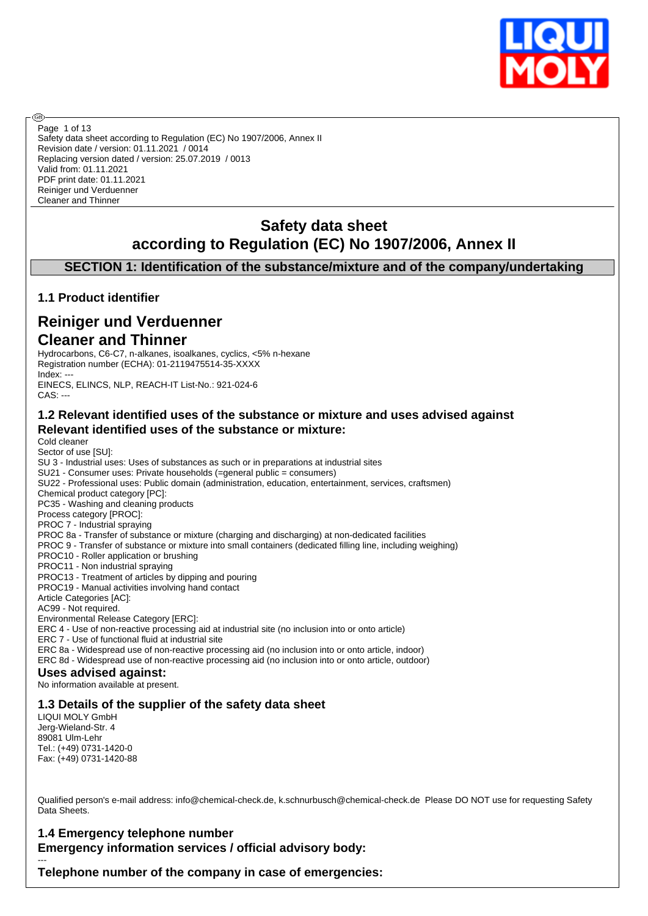

Safety data sheet according to Regulation (EC) No 1907/2006, Annex II Revision date / version: 01.11.2021 / 0014 Replacing version dated / version: 25.07.2019 / 0013 Valid from: 01.11.2021 PDF print date: 01.11.2021 Reiniger und Verduenner Cleaner and Thinner Page 1 of 13

# **Safety data sheet according to Regulation (EC) No 1907/2006, Annex II**

**SECTION 1: Identification of the substance/mixture and of the company/undertaking**

### **1.1 Product identifier**

അ

# **Reiniger und Verduenner Cleaner and Thinner**

Hydrocarbons, C6-C7, n-alkanes, isoalkanes, cyclics, <5% n-hexane Registration number (ECHA): 01-2119475514-35-XXXX Index: --- EINECS, ELINCS, NLP, REACH-IT List-No.: 921-024-6 CAS: ---

### **1.2 Relevant identified uses of the substance or mixture and uses advised against Relevant identified uses of the substance or mixture:**

Cold cleaner Sector of use [SU]: SU 3 - Industrial uses: Uses of substances as such or in preparations at industrial sites SU21 - Consumer uses: Private households (=general public = consumers) SU22 - Professional uses: Public domain (administration, education, entertainment, services, craftsmen) Chemical product category [PC]: PC35 - Washing and cleaning products Process category [PROC]: PROC 7 - Industrial spraying PROC 8a - Transfer of substance or mixture (charging and discharging) at non-dedicated facilities PROC 9 - Transfer of substance or mixture into small containers (dedicated filling line, including weighing) PROC10 - Roller application or brushing PROC11 - Non industrial spraying PROC13 - Treatment of articles by dipping and pouring PROC19 - Manual activities involving hand contact Article Categories [AC]: AC99 - Not required. Environmental Release Category [ERC]: ERC 4 - Use of non-reactive processing aid at industrial site (no inclusion into or onto article) ERC 7 - Use of functional fluid at industrial site ERC 8a - Widespread use of non-reactive processing aid (no inclusion into or onto article, indoor) ERC 8d - Widespread use of non-reactive processing aid (no inclusion into or onto article, outdoor) **Uses advised against:** No information available at present. **1.3 Details of the supplier of the safety data sheet** LIQUI MOLY GmbH

Jerg-Wieland-Str. 4 89081 Ulm-Lehr Tel.: (+49) 0731-1420-0 Fax: (+49) 0731-1420-88

---

Qualified person's e-mail address: info@chemical-check.de, k.schnurbusch@chemical-check.de Please DO NOT use for requesting Safety Data Sheets.

### **1.4 Emergency telephone number Emergency information services / official advisory body:**

**Telephone number of the company in case of emergencies:**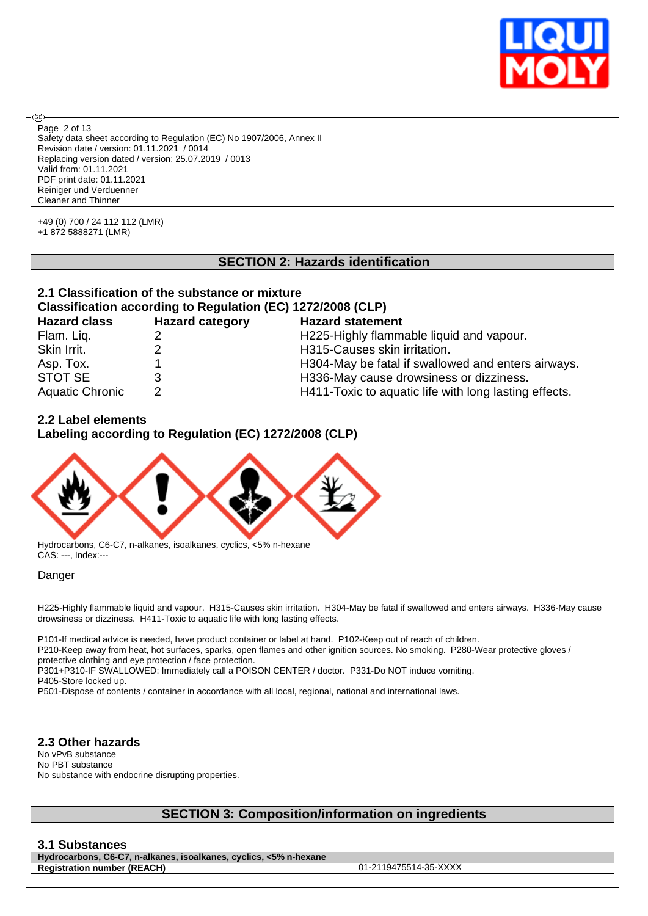

Safety data sheet according to Regulation (EC) No 1907/2006, Annex II Revision date / version: 01.11.2021 / 0014 Replacing version dated / version: 25.07.2019 / 0013 Valid from: 01.11.2021 PDF print date: 01.11.2021 Reiniger und Verduenner Cleaner and Thinner Page 2 of 13

+49 (0) 700 / 24 112 112 (LMR) +1 872 5888271 (LMR)

**®** 

### **SECTION 2: Hazards identification**

# **2.1 Classification of the substance or mixture Classification according to Regulation (EC) 1272/2008 (CLP)**

| <b>Hazard class</b>    | <b>Hazard category</b> | <b>Hazard statement</b>                               |
|------------------------|------------------------|-------------------------------------------------------|
| Flam. Liq.             |                        | H225-Highly flammable liquid and vapour.              |
| Skin Irrit.            |                        | H315-Causes skin irritation.                          |
| Asp. Tox.              |                        | H304-May be fatal if swallowed and enters airways.    |
| STOT SE                |                        | H336-May cause drowsiness or dizziness.               |
| <b>Aquatic Chronic</b> | 2                      | H411-Toxic to aquatic life with long lasting effects. |

### **2.2 Label elements**

**Labeling according to Regulation (EC) 1272/2008 (CLP)**



Hydrocarbons, C6-C7, n-alkanes, isoalkanes, cyclics, <5% n-hexane CAS: ---, Index:---

#### Danger

H225-Highly flammable liquid and vapour. H315-Causes skin irritation. H304-May be fatal if swallowed and enters airways. H336-May cause drowsiness or dizziness. H411-Toxic to aquatic life with long lasting effects.

P101-If medical advice is needed, have product container or label at hand. P102-Keep out of reach of children. P210-Keep away from heat, hot surfaces, sparks, open flames and other ignition sources. No smoking. P280-Wear protective gloves / protective clothing and eye protection / face protection.

P301+P310-IF SWALLOWED: Immediately call a POISON CENTER / doctor. P331-Do NOT induce vomiting. P405-Store locked up.

P501-Dispose of contents / container in accordance with all local, regional, national and international laws.

### **2.3 Other hazards**

No vPvB substance No PBT substance No substance with endocrine disrupting properties.

## **SECTION 3: Composition/information on ingredients**

### **3.1 Substances**

**Hydrocarbons, C6-C7, n-alkanes, isoalkanes, cyclics, <5% n-hexane Registration number (REACH)** 01-2119475514-35-XXXX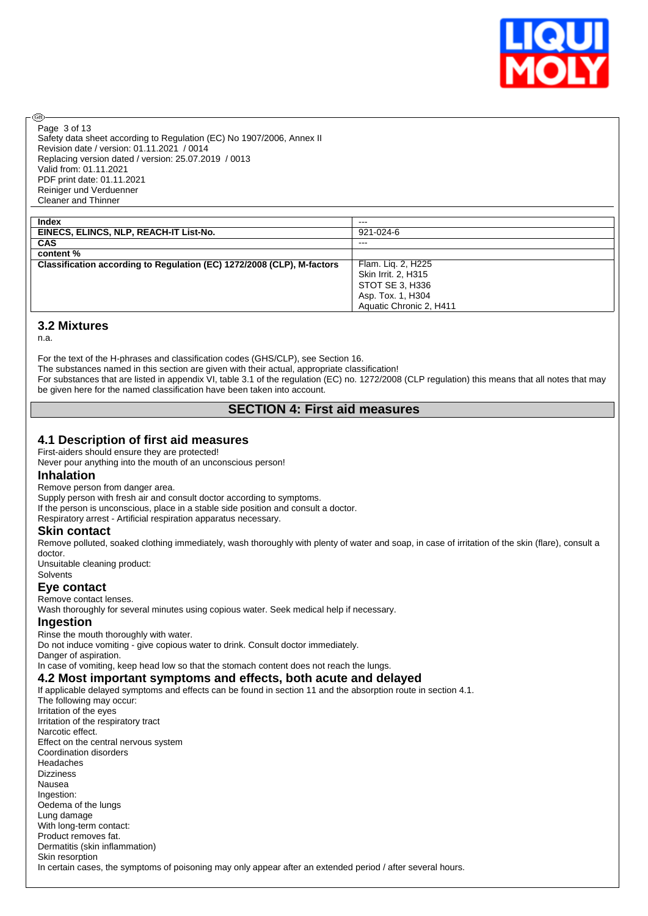

Page 3 of 13

൹

Safety data sheet according to Regulation (EC) No 1907/2006, Annex II Revision date / version: 01.11.2021 / 0014 Replacing version dated / version: 25.07.2019 / 0013 Valid from: 01.11.2021 PDF print date: 01.11.2021 Reiniger und Verduenner Cleaner and Thinner

| $- - -$                 |
|-------------------------|
| 921-024-6               |
| $- - -$                 |
|                         |
| Flam. Lig. 2, H225      |
| Skin Irrit. 2, H315     |
| STOT SE 3, H336         |
| Asp. Tox. 1, H304       |
| Aquatic Chronic 2, H411 |
|                         |

### **3.2 Mixtures**

n.a.

For the text of the H-phrases and classification codes (GHS/CLP), see Section 16.

The substances named in this section are given with their actual, appropriate classification!

For substances that are listed in appendix VI, table 3.1 of the regulation (EC) no. 1272/2008 (CLP regulation) this means that all notes that may be given here for the named classification have been taken into account.

### **SECTION 4: First aid measures**

### **4.1 Description of first aid measures**

First-aiders should ensure they are protected!

Never pour anything into the mouth of an unconscious person!

#### **Inhalation**

Remove person from danger area.

Supply person with fresh air and consult doctor according to symptoms.

If the person is unconscious, place in a stable side position and consult a doctor.

Respiratory arrest - Artificial respiration apparatus necessary.

#### **Skin contact**

Remove polluted, soaked clothing immediately, wash thoroughly with plenty of water and soap, in case of irritation of the skin (flare), consult a doctor.

Unsuitable cleaning product: **Solvents** 

# **Eye contact**

Remove contact lenses.

Wash thoroughly for several minutes using copious water. Seek medical help if necessary.

#### **Ingestion**

Rinse the mouth thoroughly with water. Do not induce vomiting - give copious water to drink. Consult doctor immediately. Danger of aspiration.

In case of vomiting, keep head low so that the stomach content does not reach the lungs.

### **4.2 Most important symptoms and effects, both acute and delayed**

If applicable delayed symptoms and effects can be found in section 11 and the absorption route in section 4.1.

The following may occur: Irritation of the eyes Irritation of the respiratory tract Narcotic effect. Effect on the central nervous system Coordination disorders Headaches Dizziness Nausea Ingestion: Oedema of the lungs Lung damage With long-term contact: Product removes fat. Dermatitis (skin inflammation) Skin resorption In certain cases, the symptoms of poisoning may only appear after an extended period / after several hours.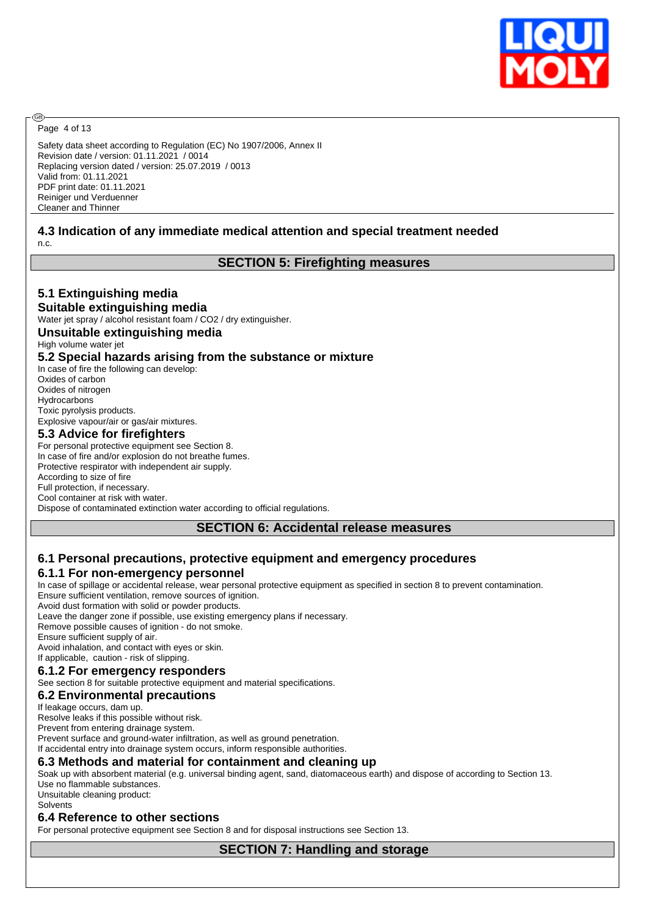

Page 4 of 13

ඹ

Safety data sheet according to Regulation (EC) No 1907/2006, Annex II Revision date / version: 01.11.2021 / 0014 Replacing version dated / version: 25.07.2019 / 0013 Valid from: 01.11.2021 PDF print date: 01.11.2021 Reiniger und Verduenner Cleaner and Thinner

### **4.3 Indication of any immediate medical attention and special treatment needed**

n.c.

### **SECTION 5: Firefighting measures**

### **5.1 Extinguishing media**

#### **Suitable extinguishing media**

Water jet spray / alcohol resistant foam / CO2 / dry extinguisher.

#### **Unsuitable extinguishing media**

High volume water jet

#### **5.2 Special hazards arising from the substance or mixture**

In case of fire the following can develop: Oxides of carbon Oxides of nitrogen **Hydrocarbons** Toxic pyrolysis products. Explosive vapour/air or gas/air mixtures.

#### **5.3 Advice for firefighters**

For personal protective equipment see Section 8. In case of fire and/or explosion do not breathe fumes. Protective respirator with independent air supply. According to size of fire Full protection, if necessary. Cool container at risk with water. Dispose of contaminated extinction water according to official regulations.

### **SECTION 6: Accidental release measures**

# **6.1 Personal precautions, protective equipment and emergency procedures**

### **6.1.1 For non-emergency personnel**

In case of spillage or accidental release, wear personal protective equipment as specified in section 8 to prevent contamination. Ensure sufficient ventilation, remove sources of ignition.

Avoid dust formation with solid or powder products.

Leave the danger zone if possible, use existing emergency plans if necessary.

Remove possible causes of ignition - do not smoke.

Ensure sufficient supply of air.

Avoid inhalation, and contact with eyes or skin.

#### If applicable, caution - risk of slipping. **6.1.2 For emergency responders**

See section 8 for suitable protective equipment and material specifications.

### **6.2 Environmental precautions**

If leakage occurs, dam up.

Resolve leaks if this possible without risk.

Prevent from entering drainage system.

Prevent surface and ground-water infiltration, as well as ground penetration. If accidental entry into drainage system occurs, inform responsible authorities.

### **6.3 Methods and material for containment and cleaning up**

Soak up with absorbent material (e.g. universal binding agent, sand, diatomaceous earth) and dispose of according to Section 13. Use no flammable substances.

Unsuitable cleaning product: **Solvents** 

#### **6.4 Reference to other sections**

For personal protective equipment see Section 8 and for disposal instructions see Section 13.

**SECTION 7: Handling and storage**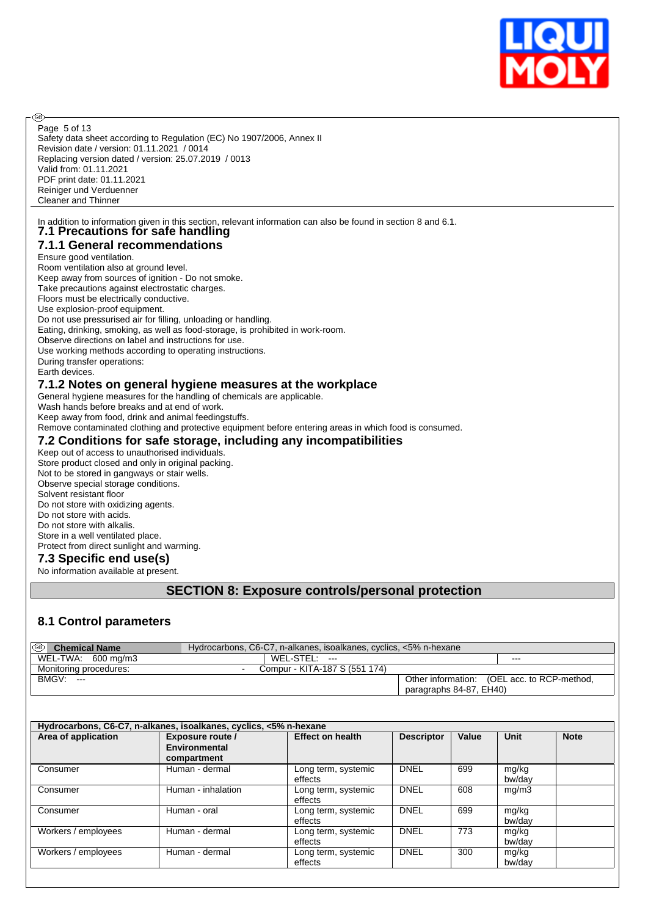

Safety data sheet according to Regulation (EC) No 1907/2006, Annex II Revision date / version: 01.11.2021 / 0014 Replacing version dated / version: 25.07.2019 / 0013 Valid from: 01.11.2021 PDF print date: 01.11.2021 Reiniger und Verduenner Cleaner and Thinner Page 5 of 13

In addition to information given in this section, relevant information can also be found in section 8 and 6.1. **7.1 Precautions for safe handling**

# **7.1.1 General recommendations**

# Ensure good ventilation.

**®** 

Room ventilation also at ground level. Keep away from sources of ignition - Do not smoke. Take precautions against electrostatic charges. Floors must be electrically conductive. Use explosion-proof equipment. Do not use pressurised air for filling, unloading or handling. Eating, drinking, smoking, as well as food-storage, is prohibited in work-room. Observe directions on label and instructions for use. Use working methods according to operating instructions. During transfer operations: Earth devices. **7.1.2 Notes on general hygiene measures at the workplace**

General hygiene measures for the handling of chemicals are applicable.

Wash hands before breaks and at end of work.

Keep away from food, drink and animal feedingstuffs.

Remove contaminated clothing and protective equipment before entering areas in which food is consumed.

### **7.2 Conditions for safe storage, including any incompatibilities**

Keep out of access to unauthorised individuals. Store product closed and only in original packing. Not to be stored in gangways or stair wells. Observe special storage conditions. Solvent resistant floor Do not store with oxidizing agents. Do not store with acids. Do not store with alkalis. Store in a well ventilated place. Protect from direct sunlight and warming.

### **7.3 Specific end use(s)**

No information available at present.

## **SECTION 8: Exposure controls/personal protection**

### **8.1 Control parameters**

| ை<br><b>Chemical Name</b> | Hydrocarbons, C6-C7, n-alkanes, isoalkanes, cyclics, <5% n-hexane |                                             |     |
|---------------------------|-------------------------------------------------------------------|---------------------------------------------|-----|
| WEL-TWA: 600 mg/m3        | $WEL-STEL: ---$                                                   |                                             | --- |
| Monitoring procedures:    | Compur - KITA-187 S (551 174)<br>$\overline{\phantom{0}}$         |                                             |     |
| $BMGV:---$                |                                                                   | Other information: (OEL acc. to RCP-method, |     |
|                           |                                                                   | paragraphs 84-87, EH40)                     |     |

| Hydrocarbons, C6-C7, n-alkanes, isoalkanes, cyclics, <5% n-hexane |                                                  |                                |                   |       |                 |             |  |
|-------------------------------------------------------------------|--------------------------------------------------|--------------------------------|-------------------|-------|-----------------|-------------|--|
| Area of application                                               | Exposure route /<br>Environmental<br>compartment | <b>Effect on health</b>        | <b>Descriptor</b> | Value | Unit            | <b>Note</b> |  |
| Consumer                                                          | Human - dermal                                   | Long term, systemic<br>effects | <b>DNEL</b>       | 699   | mg/kg<br>bw/day |             |  |
| Consumer                                                          | Human - inhalation                               | Long term, systemic<br>effects | <b>DNEL</b>       | 608   | mg/m3           |             |  |
| Consumer                                                          | Human - oral                                     | Long term, systemic<br>effects | <b>DNEL</b>       | 699   | mg/kg<br>bw/dav |             |  |
| Workers / employees                                               | Human - dermal                                   | Long term, systemic<br>effects | <b>DNEL</b>       | 773   | mg/kg<br>bw/dav |             |  |
| Workers / employees                                               | Human - dermal                                   | Long term, systemic<br>effects | <b>DNEL</b>       | 300   | mg/kg<br>bw/dav |             |  |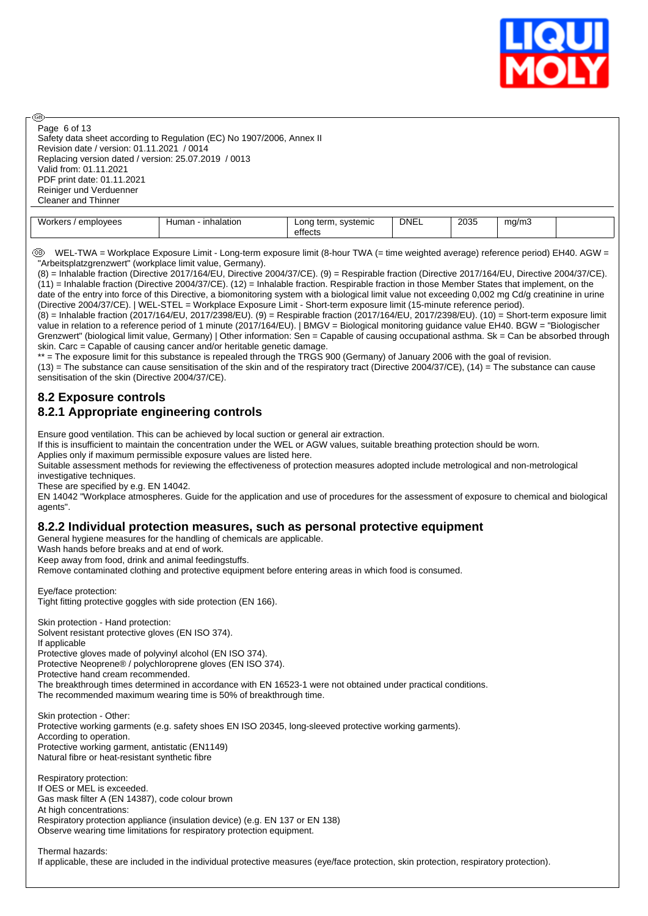

Page 6 of 13

അ

Safety data sheet according to Regulation (EC) No 1907/2006, Annex II Revision date / version: 01.11.2021 / 0014 Replacing version dated / version: 25.07.2019 / 0013 Valid from: 01.11.2021 PDF print date: 01.11.2021 Reiniger und Verduenner Cleaner and Thinner

| ML<br>วIovees<br>- -<br>halatior<br>Human<br>$\sim$ | systemic<br>$L$ on $\sim$<br>teı<br>effects | <b>DNEL</b> | 2035 | ma<br>า/mJ<br>. . |  |
|-----------------------------------------------------|---------------------------------------------|-------------|------|-------------------|--|
|-----------------------------------------------------|---------------------------------------------|-------------|------|-------------------|--|

 WEL-TWA = Workplace Exposure Limit - Long-term exposure limit (8-hour TWA (= time weighted average) reference period) EH40. AGW = "Arbeitsplatzgrenzwert" (workplace limit value, Germany).

(8) = Inhalable fraction (Directive 2017/164/EU, Directive 2004/37/CE). (9) = Respirable fraction (Directive 2017/164/EU, Directive 2004/37/CE).  $(11)$  = Inhalable fraction (Directive 2004/37/CE). (12) = Inhalable fraction. Respirable fraction in those Member States that implement, on the date of the entry into force of this Directive, a biomonitoring system with a biological limit value not exceeding 0,002 mg Cd/g creatinine in urine (Directive 2004/37/CE). | WEL-STEL = Workplace Exposure Limit - Short-term exposure limit (15-minute reference period).

(8) = Inhalable fraction (2017/164/EU, 2017/2398/EU). (9) = Respirable fraction (2017/164/EU, 2017/2398/EU). (10) = Short-term exposure limit value in relation to a reference period of 1 minute (2017/164/EU). | BMGV = Biological monitoring guidance value EH40. BGW = "Biologischer Grenzwert" (biological limit value, Germany) | Other information: Sen = Capable of causing occupational asthma. Sk = Can be absorbed through skin. Carc = Capable of causing cancer and/or heritable genetic damage.

\*\* = The exposure limit for this substance is repealed through the TRGS 900 (Germany) of January 2006 with the goal of revision.

 $(13)$  = The substance can cause sensitisation of the skin and of the respiratory tract (Directive 2004/37/CE),  $(14)$  = The substance can cause sensitisation of the skin (Directive 2004/37/CE).

### **8.2 Exposure controls 8.2.1 Appropriate engineering controls**

Ensure good ventilation. This can be achieved by local suction or general air extraction.

If this is insufficient to maintain the concentration under the WEL or AGW values, suitable breathing protection should be worn.

Applies only if maximum permissible exposure values are listed here.

Suitable assessment methods for reviewing the effectiveness of protection measures adopted include metrological and non-metrological investigative techniques.

These are specified by e.g. EN 14042.

EN 14042 "Workplace atmospheres. Guide for the application and use of procedures for the assessment of exposure to chemical and biological agents".

### **8.2.2 Individual protection measures, such as personal protective equipment**

General hygiene measures for the handling of chemicals are applicable.

Wash hands before breaks and at end of work.

Keep away from food, drink and animal feedingstuffs.

Remove contaminated clothing and protective equipment before entering areas in which food is consumed.

Eye/face protection: Tight fitting protective goggles with side protection (EN 166).

Skin protection - Hand protection: Solvent resistant protective gloves (EN ISO 374). If applicable Protective gloves made of polyvinyl alcohol (EN ISO 374). Protective Neoprene® / polychloroprene gloves (EN ISO 374). Protective hand cream recommended. The breakthrough times determined in accordance with EN 16523-1 were not obtained under practical conditions. The recommended maximum wearing time is 50% of breakthrough time.

Skin protection - Other: Protective working garments (e.g. safety shoes EN ISO 20345, long-sleeved protective working garments). According to operation. Protective working garment, antistatic (EN1149) Natural fibre or heat-resistant synthetic fibre

Respiratory protection: If OES or MEL is exceeded. Gas mask filter A (EN 14387), code colour brown At high concentrations: Respiratory protection appliance (insulation device) (e.g. EN 137 or EN 138) Observe wearing time limitations for respiratory protection equipment.

Thermal hazards:

If applicable, these are included in the individual protective measures (eye/face protection, skin protection, respiratory protection).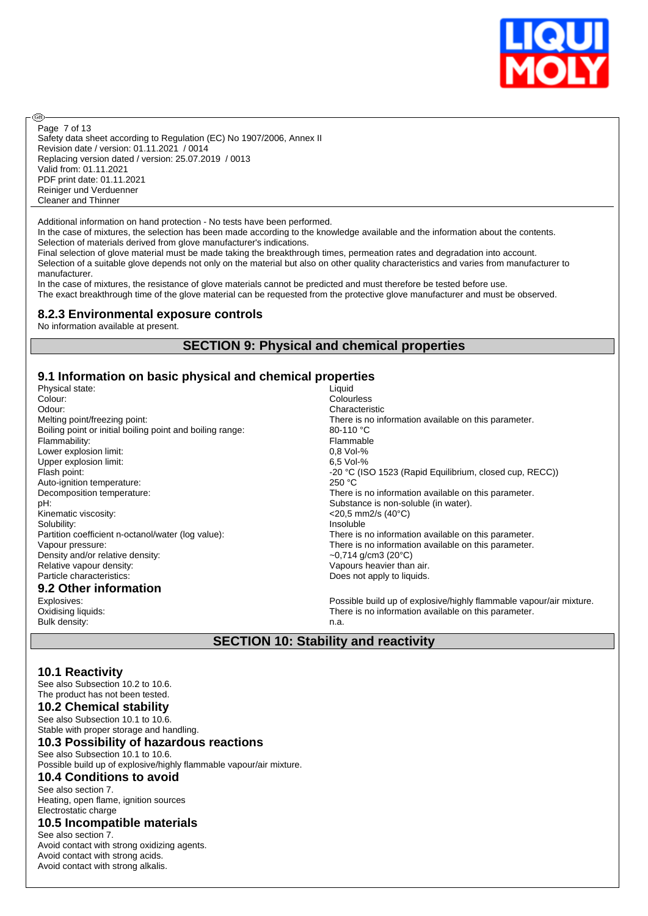

Safety data sheet according to Regulation (EC) No 1907/2006, Annex II Revision date / version: 01.11.2021 / 0014 Replacing version dated / version: 25.07.2019 / 0013 Valid from: 01.11.2021 PDF print date: 01.11.2021 Reiniger und Verduenner Cleaner and Thinner Page 7 of 13

Additional information on hand protection - No tests have been performed.

In the case of mixtures, the selection has been made according to the knowledge available and the information about the contents. Selection of materials derived from glove manufacturer's indications.

Final selection of glove material must be made taking the breakthrough times, permeation rates and degradation into account. Selection of a suitable glove depends not only on the material but also on other quality characteristics and varies from manufacturer to manufacturer.

In the case of mixtures, the resistance of glove materials cannot be predicted and must therefore be tested before use. The exact breakthrough time of the glove material can be requested from the protective glove manufacturer and must be observed.

### **8.2.3 Environmental exposure controls**

No information available at present.

രി

### **SECTION 9: Physical and chemical properties**

# **9.1 Information on basic physical and chemical properties**

Physical state:<br>Colour: Colour: Colourless Colourless<br>
Colour: Colourless<br>
Characteristic Colourless Boiling point or initial boiling point and boiling range: 80-110 °C Flammability: Flammable Lower explosion limit:  $0,8 \text{ Vol-}\%$ <br>Upper explosion limit:  $6.5 \text{ Vol-}\%$ Upper explosion limit: Auto-ignition temperature: 250 °C pH: Substance is non-soluble (in water). kinematic viscosity:  $\leq$ 20,5 mm2/s (40°C) Solubility:<br>Partition coefficient n-octanol/water (log value): There is interestingly and the posterior of the posterior Density and/or relative density:<br>
Relative vapour density:<br>
Relative vapour density:<br>
Vapours heavier than Particle characteristics: Does not apply to liquids.

### **9.2 Other information**

Bulk density: n.a.

Characteristic Melting point/freezing point: There is no information available on this parameter. Flash point:  $-20 \text{ °C}$  (ISO 1523 (Rapid Equilibrium, closed cup, RECC)) Decomposition temperature: There is no information available on this parameter. There is no information available on this parameter. Vapour pressure: There is no information available on this parameter. Vapours heavier than air.

Explosives:<br>
Possible build up of explosive/highly flammable vapour/air mixture.<br>
There is no information available on this parameter. There is no information available on this parameter.

### **SECTION 10: Stability and reactivity**

### **10.1 Reactivity**

See also Subsection 10.2 to 10.6. The product has not been tested.

#### **10.2 Chemical stability**

See also Subsection 10.1 to 10.6. Stable with proper storage and handling.

#### **10.3 Possibility of hazardous reactions**

#### See also Subsection 10.1 to 10.6.

Possible build up of explosive/highly flammable vapour/air mixture.

### **10.4 Conditions to avoid**

See also section 7. Heating, open flame, ignition sources Electrostatic charge

#### **10.5 Incompatible materials**

See also section 7. Avoid contact with strong oxidizing agents. Avoid contact with strong acids. Avoid contact with strong alkalis.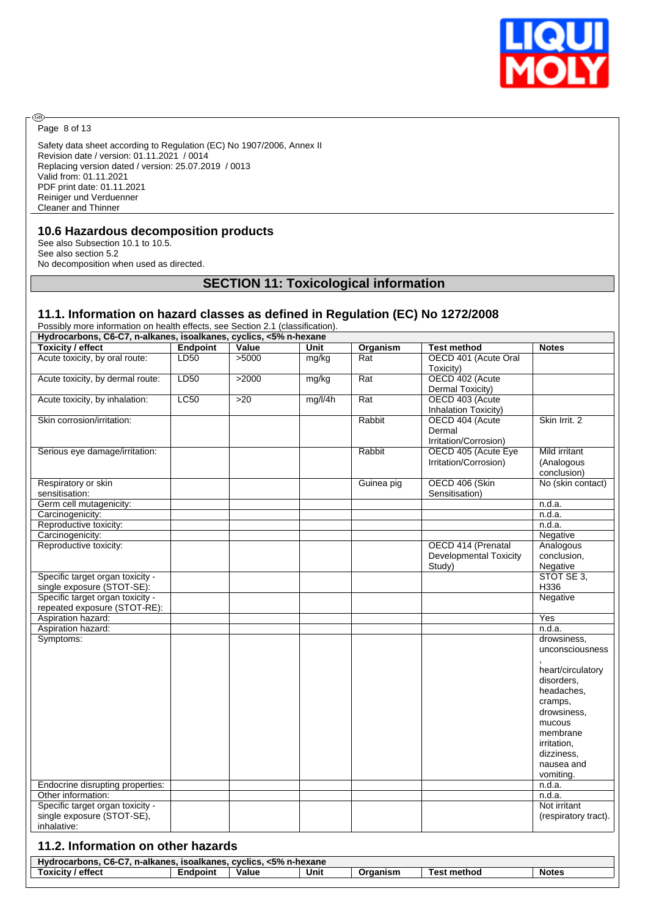

Page 8 of 13

◉

Safety data sheet according to Regulation (EC) No 1907/2006, Annex II Revision date / version: 01.11.2021 / 0014 Replacing version dated / version: 25.07.2019 / 0013 Valid from: 01.11.2021 PDF print date: 01.11.2021 Reiniger und Verduenner Cleaner and Thinner

### **10.6 Hazardous decomposition products**

See also Subsection 10.1 to 10.5. See also section 5.2 No decomposition when used as directed.

# **SECTION 11: Toxicological information**

### **11.1. Information on hazard classes as defined in Regulation (EC) No 1272/2008**

Possibly more information on health effects, see Section 2.1 (classification).

| <b>Toxicity / effect</b>                                         | <b>Endpoint</b> | Value | Unit    | Organism         | <b>Test method</b>                                 | <b>Notes</b>                                                                                                                             |
|------------------------------------------------------------------|-----------------|-------|---------|------------------|----------------------------------------------------|------------------------------------------------------------------------------------------------------------------------------------------|
| Acute toxicity, by oral route:                                   | LD50            | 5000  | mg/kg   | Rat              | OECD 401 (Acute Oral<br>Toxicity)                  |                                                                                                                                          |
| Acute toxicity, by dermal route:                                 | LD50            | >2000 | mg/kg   | Rat              | OECD 402 (Acute<br>Dermal Toxicity)                |                                                                                                                                          |
| Acute toxicity, by inhalation:                                   | LC50            | >20   | mg/l/4h | $\overline{Rat}$ | OECD 403 (Acute<br>Inhalation Toxicity)            |                                                                                                                                          |
| Skin corrosion/irritation:                                       |                 |       |         | Rabbit           | OECD 404 (Acute<br>Dermal<br>Irritation/Corrosion) | Skin Irrit. 2                                                                                                                            |
| Serious eye damage/irritation:                                   |                 |       |         | Rabbit           | OECD 405 (Acute Eye<br>Irritation/Corrosion)       | Mild irritant<br>(Analogous<br>conclusion)                                                                                               |
| Respiratory or skin<br>sensitisation:                            |                 |       |         | Guinea pig       | OECD 406 (Skin<br>Sensitisation)                   | No (skin contact)                                                                                                                        |
| Germ cell mutagenicity:                                          |                 |       |         |                  |                                                    | n.d.a.                                                                                                                                   |
| Carcinogenicity:                                                 |                 |       |         |                  |                                                    | n.d.a.                                                                                                                                   |
| Reproductive toxicity:                                           |                 |       |         |                  |                                                    | n.d.a.                                                                                                                                   |
| Carcinogenicity:                                                 |                 |       |         |                  |                                                    | Negative                                                                                                                                 |
| Reproductive toxicity:                                           |                 |       |         |                  | OECD 414 (Prenatal                                 | Analogous                                                                                                                                |
|                                                                  |                 |       |         |                  | <b>Developmental Toxicity</b><br>Study)            | conclusion,<br>Negative                                                                                                                  |
| Specific target organ toxicity -<br>single exposure (STOT-SE):   |                 |       |         |                  |                                                    | STOT SE 3,<br>H336                                                                                                                       |
| Specific target organ toxicity -<br>repeated exposure (STOT-RE): |                 |       |         |                  |                                                    | Negative                                                                                                                                 |
| Aspiration hazard:                                               |                 |       |         |                  |                                                    | Yes                                                                                                                                      |
| Aspiration hazard:                                               |                 |       |         |                  |                                                    | n.d.a.                                                                                                                                   |
| Symptoms:                                                        |                 |       |         |                  |                                                    | drowsiness,<br>unconsciousness                                                                                                           |
|                                                                  |                 |       |         |                  |                                                    | heart/circulatory<br>disorders.<br>headaches.<br>cramps,<br>drowsiness.<br>mucous<br>membrane<br>irritation,<br>dizziness,<br>nausea and |
| Endocrine disrupting properties:                                 |                 |       |         |                  |                                                    | vomiting.<br>n.d.a.                                                                                                                      |
| Other information:                                               |                 |       |         |                  |                                                    | n.d.a.                                                                                                                                   |
| Specific target organ toxicity -<br>single exposure (STOT-SE),   |                 |       |         |                  |                                                    | Not irritant<br>(respiratory tract).                                                                                                     |

| . <5% n-hexane<br>Hydrocarbons.<br>CC CT<br><b>CVCIICS</b><br>n-alkanes.<br>. isoalkanes.<br>$Ub-UL$ |          |       |      |          |                  |              |
|------------------------------------------------------------------------------------------------------|----------|-------|------|----------|------------------|--------------|
| ' effect<br>Toxicitv                                                                                 | Endpoint | Value | Unit | Organism | ∶ method<br>esi" | <b>Notes</b> |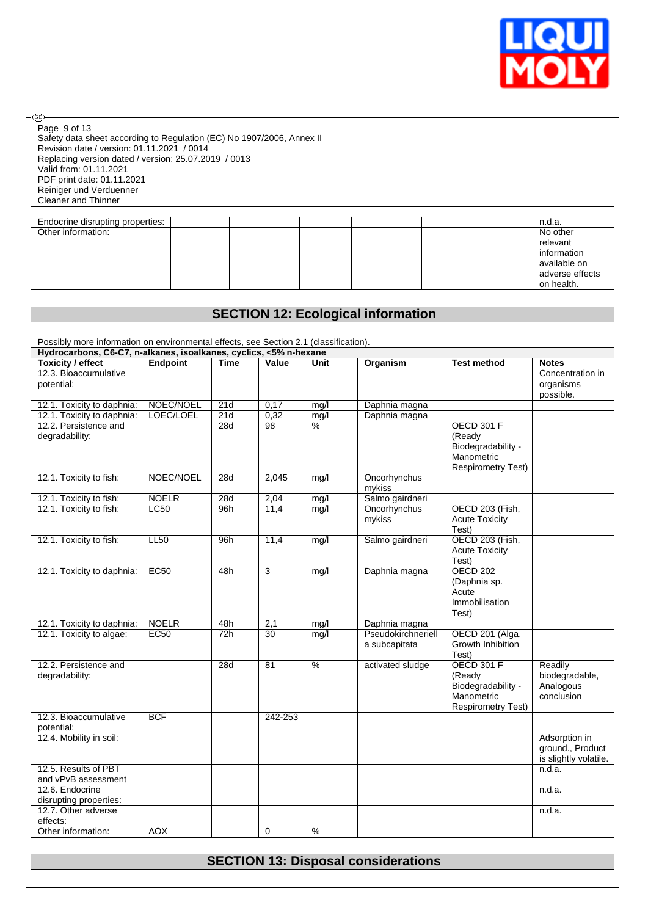

| Page 9 of 13 |  |  |
|--------------|--|--|

- ®-

Safety data sheet according to Regulation (EC) No 1907/2006, Annex II Revision date / version: 01.11.2021 / 0014 Replacing version dated / version: 25.07.2019 / 0013 Valid from: 01.11.2021 PDF print date: 01.11.2021 Reiniger und Verduenner Cleaner and Thinner

| Endocrine disrupting properties: |  |  | n.d.a.          |
|----------------------------------|--|--|-----------------|
| Other information:               |  |  | No other        |
|                                  |  |  | relevant        |
|                                  |  |  | information     |
|                                  |  |  | available on    |
|                                  |  |  | adverse effects |
|                                  |  |  | on health.      |

# **SECTION 12: Ecological information**

Possibly more information on environmental effects, see Section 2.1 (classification).

| Hydrocarbons, C6-C7, n-alkanes, isoalkanes, cyclics, <5% n-hexane |                 |             |                 |               |                    |                           |                       |
|-------------------------------------------------------------------|-----------------|-------------|-----------------|---------------|--------------------|---------------------------|-----------------------|
| <b>Toxicity / effect</b>                                          | <b>Endpoint</b> | <b>Time</b> | Value           | Unit          | <b>Organism</b>    | <b>Test method</b>        | <b>Notes</b>          |
| 12.3. Bioaccumulative                                             |                 |             |                 |               |                    |                           | Concentration in      |
| potential:                                                        |                 |             |                 |               |                    |                           | organisms             |
|                                                                   |                 |             |                 |               |                    |                           | possible.             |
| 12.1. Toxicity to daphnia:                                        | NOEC/NOEL       | 21d         | 0,17            | mg/l          | Daphnia magna      |                           |                       |
| 12.1. Toxicity to daphnia:                                        | LOEC/LOEL       | 21d         | 0,32            | mg/l          | Daphnia magna      |                           |                       |
| 12.2. Persistence and                                             |                 | 28d         | 98              | $\frac{9}{6}$ |                    | <b>OECD 301 F</b>         |                       |
| degradability:                                                    |                 |             |                 |               |                    | (Ready                    |                       |
|                                                                   |                 |             |                 |               |                    | Biodegradability -        |                       |
|                                                                   |                 |             |                 |               |                    | Manometric                |                       |
|                                                                   |                 |             |                 |               |                    | <b>Respirometry Test)</b> |                       |
| 12.1. Toxicity to fish:                                           | NOEC/NOEL       | 28d         | 2,045           | mg/l          | Oncorhynchus       |                           |                       |
|                                                                   |                 |             |                 |               | mykiss             |                           |                       |
| 12.1. Toxicity to fish:                                           | <b>NOELR</b>    | 28d         | 2,04            | mg/l          | Salmo gairdneri    |                           |                       |
| 12.1. Toxicity to fish:                                           | <b>LC50</b>     | 96h         | 11,4            | mg/l          | Oncorhynchus       | OECD 203 (Fish,           |                       |
|                                                                   |                 |             |                 |               | mykiss             | <b>Acute Toxicity</b>     |                       |
|                                                                   |                 |             |                 |               |                    | Test)                     |                       |
| 12.1. Toxicity to fish:                                           | LL50            | 96h         | 11,4            | mg/l          | Salmo gairdneri    | OECD 203 (Fish,           |                       |
|                                                                   |                 |             |                 |               |                    | <b>Acute Toxicity</b>     |                       |
|                                                                   |                 |             |                 |               |                    | Test)                     |                       |
| 12.1. Toxicity to daphnia:                                        | EC50            | 48h         | 3               | mg/l          | Daphnia magna      | <b>OECD 202</b>           |                       |
|                                                                   |                 |             |                 |               |                    | (Daphnia sp.              |                       |
|                                                                   |                 |             |                 |               |                    | Acute                     |                       |
|                                                                   |                 |             |                 |               |                    | Immobilisation            |                       |
|                                                                   |                 |             |                 |               |                    | Test)                     |                       |
| 12.1. Toxicity to daphnia:                                        | <b>NOELR</b>    | 48h         | 2,1             | mq/l          | Daphnia magna      |                           |                       |
| 12.1. Toxicity to algae:                                          | <b>EC50</b>     | 72h         | 30              | mg/l          | Pseudokirchneriell | OECD 201 (Alga,           |                       |
|                                                                   |                 |             |                 |               | a subcapitata      | Growth Inhibition         |                       |
|                                                                   |                 |             |                 |               |                    | Test)                     |                       |
| 12.2. Persistence and                                             |                 | 28d         | $\overline{81}$ | $\%$          | activated sludge   | <b>OECD 301 F</b>         | Readily               |
| degradability:                                                    |                 |             |                 |               |                    | (Ready                    | biodegradable,        |
|                                                                   |                 |             |                 |               |                    | Biodegradability -        | Analogous             |
|                                                                   |                 |             |                 |               |                    | Manometric                | conclusion            |
|                                                                   |                 |             |                 |               |                    | <b>Respirometry Test)</b> |                       |
| 12.3. Bioaccumulative                                             | <b>BCF</b>      |             | 242-253         |               |                    |                           |                       |
| potential:                                                        |                 |             |                 |               |                    |                           |                       |
| 12.4. Mobility in soil:                                           |                 |             |                 |               |                    |                           | Adsorption in         |
|                                                                   |                 |             |                 |               |                    |                           | ground., Product      |
|                                                                   |                 |             |                 |               |                    |                           | is slightly volatile. |
| 12.5. Results of PBT                                              |                 |             |                 |               |                    |                           | n.d.a.                |
| and vPvB assessment                                               |                 |             |                 |               |                    |                           |                       |
| 12.6. Endocrine                                                   |                 |             |                 |               |                    |                           | n.d.a.                |
| disrupting properties:                                            |                 |             |                 |               |                    |                           |                       |
| 12.7. Other adverse                                               |                 |             |                 |               |                    |                           | n.d.a.                |
| effects:                                                          | <b>AOX</b>      |             |                 | $\frac{0}{6}$ |                    |                           |                       |
| Other information:                                                |                 |             | $\mathbf 0$     |               |                    |                           |                       |

# **SECTION 13: Disposal considerations**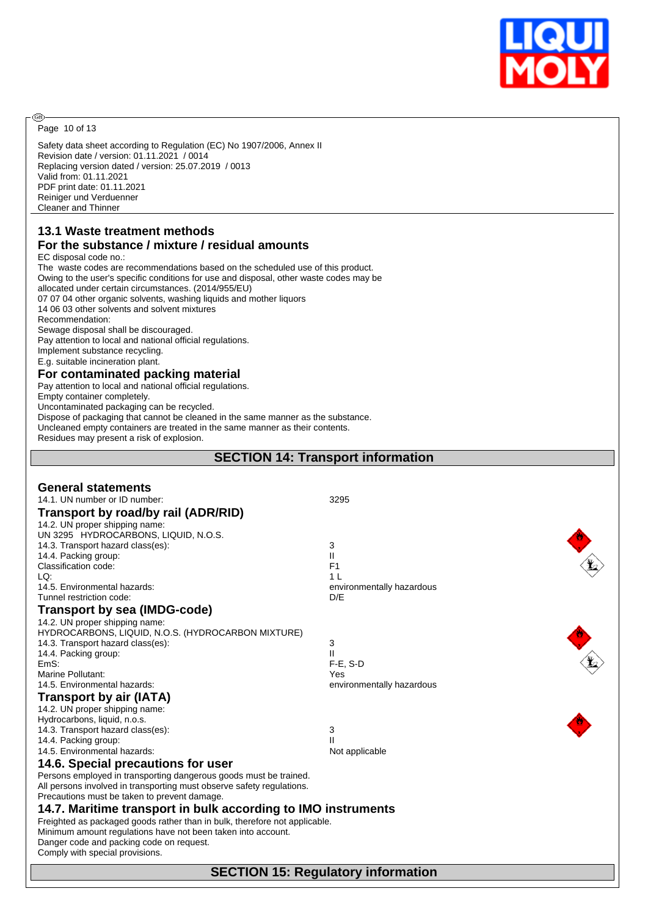

Page 10 of 13

**®** 

Safety data sheet according to Regulation (EC) No 1907/2006, Annex II Revision date / version: 01.11.2021 / 0014 Replacing version dated / version: 25.07.2019 / 0013 Valid from: 01.11.2021 PDF print date: 01.11.2021 Reiniger und Verduenner Cleaner and Thinner

# **13.1 Waste treatment methods**

# **For the substance / mixture / residual amounts**

EC disposal code no.: The waste codes are recommendations based on the scheduled use of this product. Owing to the user's specific conditions for use and disposal, other waste codes may be allocated under certain circumstances. (2014/955/EU) 07 07 04 other organic solvents, washing liquids and mother liquors 14 06 03 other solvents and solvent mixtures Recommendation: Sewage disposal shall be discouraged. Pay attention to local and national official regulations. Implement substance recycling. E.g. suitable incineration plant. **For contaminated packing material** Pay attention to local and national official regulations. Empty container completely.

Uncontaminated packaging can be recycled.

Dispose of packaging that cannot be cleaned in the same manner as the substance.

Uncleaned empty containers are treated in the same manner as their contents.

Residues may present a risk of explosion.

### **SECTION 14: Transport information**

| <b>General statements</b>                                                  |                           |
|----------------------------------------------------------------------------|---------------------------|
| 14.1. UN number or ID number:                                              | 3295                      |
| Transport by road/by rail (ADR/RID)                                        |                           |
| 14.2. UN proper shipping name:                                             |                           |
| UN 3295 HYDROCARBONS, LIQUID, N.O.S.                                       |                           |
| 14.3. Transport hazard class(es):                                          | 3                         |
| 14.4. Packing group:                                                       | Ш                         |
| Classification code:                                                       | F <sub>1</sub>            |
| LQ:                                                                        | 1 <sup>1</sup>            |
| 14.5. Environmental hazards:                                               | environmentally hazardous |
| Tunnel restriction code:                                                   | D/E                       |
| Transport by sea (IMDG-code)                                               |                           |
| 14.2. UN proper shipping name:                                             |                           |
| HYDROCARBONS, LIQUID, N.O.S. (HYDROCARBON MIXTURE)                         |                           |
| 14.3. Transport hazard class(es):                                          | 3                         |
| 14.4. Packing group:                                                       | $\mathbf{II}$             |
| EmS:                                                                       | $F-E. S-D$                |
| Marine Pollutant:                                                          | Yes                       |
| 14.5. Environmental hazards:                                               | environmentally hazardous |
| <b>Transport by air (IATA)</b>                                             |                           |
| 14.2. UN proper shipping name:                                             |                           |
| Hydrocarbons, liquid, n.o.s.                                               |                           |
| 14.3. Transport hazard class(es):                                          | 3                         |
| 14.4. Packing group:                                                       | $\mathbf{I}$              |
| 14.5. Environmental hazards:                                               | Not applicable            |
| 14.6. Special precautions for user                                         |                           |
| Persons employed in transporting dangerous goods must be trained.          |                           |
| All persons involved in transporting must observe safety regulations.      |                           |
| Precautions must be taken to prevent damage.                               |                           |
| 14.7. Maritime transport in bulk according to IMO instruments              |                           |
| Freighted as packaged goods rather than in bulk, therefore not applicable. |                           |
| Minimum amount regulations have not been taken into account.               |                           |
| Danger code and packing code on request.                                   |                           |
| Comply with special provisions.                                            |                           |
|                                                                            |                           |

**SECTION 15: Regulatory information**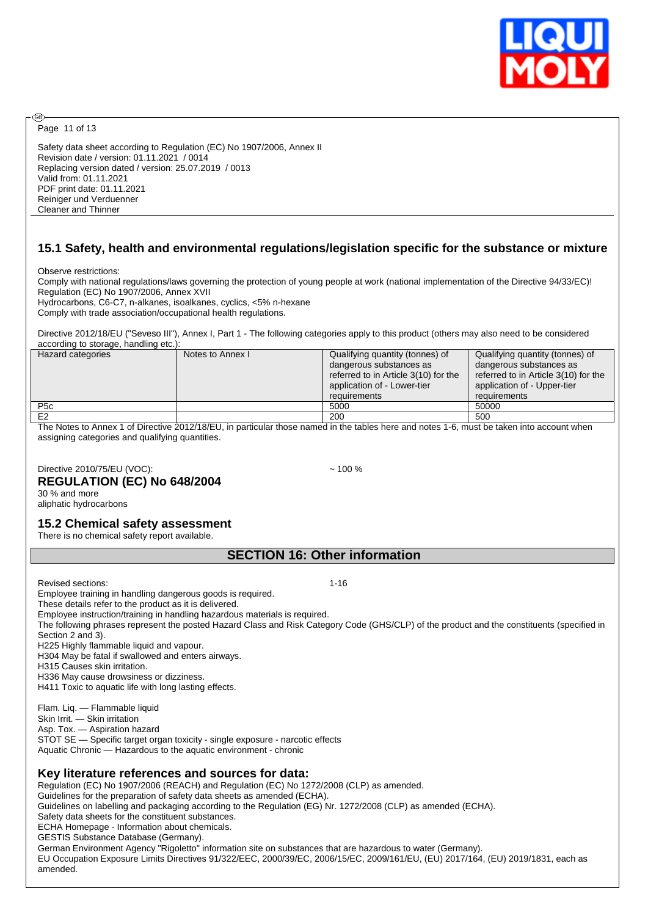

Page 11 of 13

അ

Safety data sheet according to Regulation (EC) No 1907/2006, Annex II Revision date / version: 01.11.2021 / 0014 Replacing version dated / version: 25.07.2019 / 0013 Valid from: 01.11.2021 PDF print date: 01.11.2021 Reiniger und Verduenner Cleaner and Thinner

## **15.1 Safety, health and environmental regulations/legislation specific for the substance or mixture**

Observe restrictions:

Comply with national regulations/laws governing the protection of young people at work (national implementation of the Directive 94/33/EC)! Regulation (EC) No 1907/2006, Annex XVII

Hydrocarbons, C6-C7, n-alkanes, isoalkanes, cyclics, <5% n-hexane Comply with trade association/occupational health regulations.

Directive 2012/18/EU ("Seveso III"), Annex I, Part 1 - The following categories apply to this product (others may also need to be considered according to storage, handling etc.):

| Hazard categories | Notes to Annex I | Qualifying quantity (tonnes) of<br>dangerous substances as<br>referred to in Article 3(10) for the<br>application of - Lower-tier | Qualifying quantity (tonnes) of<br>dangerous substances as<br>referred to in Article 3(10) for the<br>application of - Upper-tier |
|-------------------|------------------|-----------------------------------------------------------------------------------------------------------------------------------|-----------------------------------------------------------------------------------------------------------------------------------|
|                   |                  | requirements                                                                                                                      | requirements                                                                                                                      |
| P <sub>5</sub> c  |                  | 5000                                                                                                                              | 50000                                                                                                                             |
| E <sub>2</sub>    |                  | 200                                                                                                                               | 500                                                                                                                               |

The Notes to Annex 1 of Directive 2012/18/EU, in particular those named in the tables here and notes 1-6, must be taken into account when assigning categories and qualifying quantities.

Directive 2010/75/EU (VOC): ~ 100 % **REGULATION (EC) No 648/2004**

30 % and more aliphatic hydrocarbons

### **15.2 Chemical safety assessment**

There is no chemical safety report available.

### **SECTION 16: Other information**

Revised sections: 1-16 Employee training in handling dangerous goods is required. These details refer to the product as it is delivered. Employee instruction/training in handling hazardous materials is required. The following phrases represent the posted Hazard Class and Risk Category Code (GHS/CLP) of the product and the constituents (specified in Section 2 and 3). H225 Highly flammable liquid and vapour. H304 May be fatal if swallowed and enters airways. H315 Causes skin irritation. H336 May cause drowsiness or dizziness. H411 Toxic to aquatic life with long lasting effects. Flam. Liq. — Flammable liquid Skin Irrit. - Skin irritation Asp. Tox. — Aspiration hazard STOT SE — Specific target organ toxicity - single exposure - narcotic effects Aquatic Chronic — Hazardous to the aquatic environment - chronic **Key literature references and sources for data:** Regulation (EC) No 1907/2006 (REACH) and Regulation (EC) No 1272/2008 (CLP) as amended. Guidelines for the preparation of safety data sheets as amended (ECHA). Guidelines on labelling and packaging according to the Regulation (EG) Nr. 1272/2008 (CLP) as amended (ECHA). Safety data sheets for the constituent substances. ECHA Homepage - Information about chemicals. GESTIS Substance Database (Germany). German Environment Agency "Rigoletto" information site on substances that are hazardous to water (Germany). EU Occupation Exposure Limits Directives 91/322/EEC, 2000/39/EC, 2006/15/EC, 2009/161/EU, (EU) 2017/164, (EU) 2019/1831, each as amended.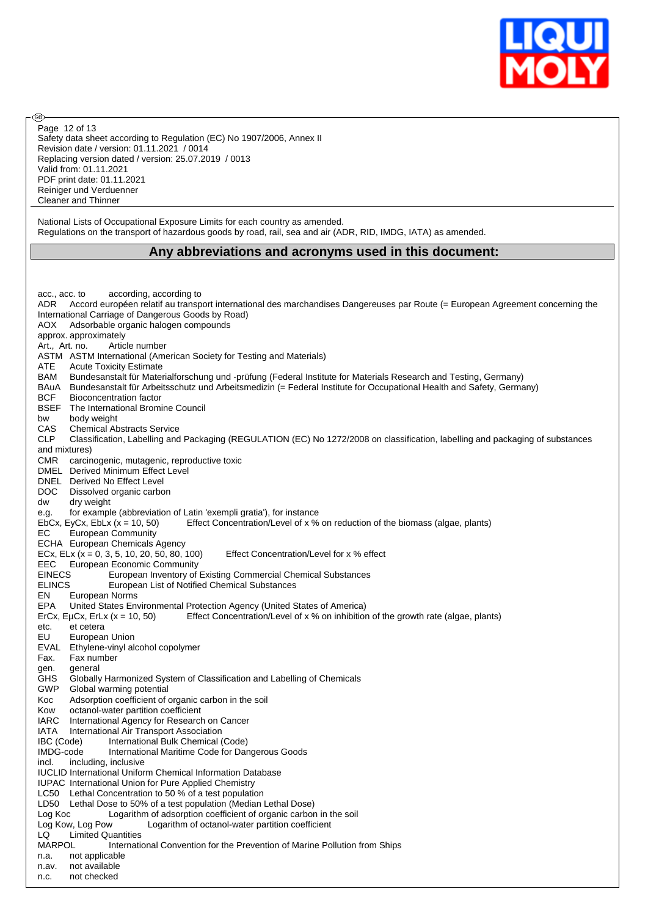

Safety data sheet according to Regulation (EC) No 1907/2006, Annex II Revision date / version: 01.11.2021 / 0014 Replacing version dated / version: 25.07.2019 / 0013 Valid from: 01.11.2021 PDF print date: 01.11.2021 Reiniger und Verduenner Cleaner and Thinner Page 12 of 13

൹

National Lists of Occupational Exposure Limits for each country as amended. Regulations on the transport of hazardous goods by road, rail, sea and air (ADR, RID, IMDG, IATA) as amended.

### **Any abbreviations and acronyms used in this document:**

acc., acc. to according, according to ADR Accord européen relatif au transport international des marchandises Dangereuses par Route (= European Agreement concerning the International Carriage of Dangerous Goods by Road) AOX Adsorbable organic halogen compounds approx. approximately Art., Art. no. Article number ASTM ASTM International (American Society for Testing and Materials) ATE Acute Toxicity Estimate BAM Bundesanstalt für Materialforschung und -prüfung (Federal Institute for Materials Research and Testing, Germany) BAuA Bundesanstalt für Arbeitsschutz und Arbeitsmedizin (= Federal Institute for Occupational Health and Safety, Germany) BCF Bioconcentration factor BSEF The International Bromine Council bw body weight CAS Chemical Abstracts Service CLP Classification, Labelling and Packaging (REGULATION (EC) No 1272/2008 on classification, labelling and packaging of substances and mixtures) CMR carcinogenic, mutagenic, reproductive toxic DMEL Derived Minimum Effect Level DNEL Derived No Effect Level DOC Dissolved organic carbon dw dry weight e.g. for example (abbreviation of Latin 'exempli gratia'), for instance EbCx, EyCx, EbLx (x = 10, 50) Effect Concentration/Level of x % on reduction of the biomass (algae, plants) EC European Community ECHA European Chemicals Agency ECx, ELx  $(x = 0, 3, 5, 10, 20, 50, 80, 100)$  Effect Concentration/Level for x % effect EEC European Economic Community EINECS European Inventory of Existing Commercial Chemical Substances ELINCS European List of Notified Chemical Substances EN European Norms EPA United States Environmental Protection Agency (United States of America) ErCx, EµCx, ErLx (x = 10, 50) Effect Concentration/Level of x % on inhibition of the growth rate (algae, plants) etc. et cetera EU European Union EVAL Ethylene-vinyl alcohol copolymer Fax. Fax number gen. general GHS Globally Harmonized System of Classification and Labelling of Chemicals GWP Global warming potential Koc Adsorption coefficient of organic carbon in the soil Kow octanol-water partition coefficient IARC International Agency for Research on Cancer IATA International Air Transport Association IBC (Code) International Bulk Chemical (Code) IMDG-code International Maritime Code for Dangerous Goods incl. including, inclusive IUCLID International Uniform Chemical Information Database IUPAC International Union for Pure Applied Chemistry LC50 Lethal Concentration to 50 % of a test population LD50 Lethal Dose to 50% of a test population (Median Lethal Dose) Log Koc Logarithm of adsorption coefficient of organic carbon in the soil Log Kow, Log Pow Logarithm of octanol-water partition coefficient LQ Limited Quantities MARPOL International Convention for the Prevention of Marine Pollution from Ships n.a. not applicable n.av. not available n.c. not checked